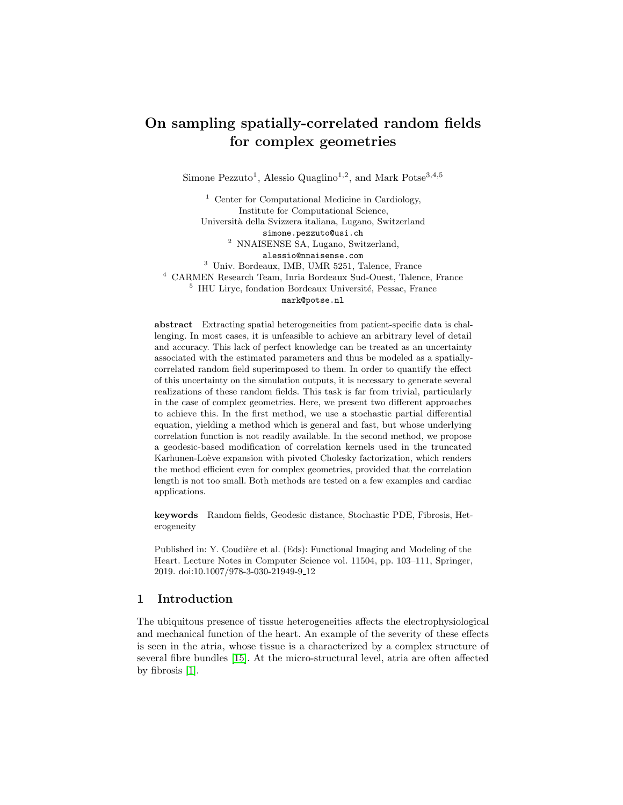# On sampling spatially-correlated random fields for complex geometries

Simone Pezzuto<sup>1</sup>, Alessio Quaglino<sup>1,2</sup>, and Mark Potse<sup>3,4,5</sup>

 $1$  Center for Computational Medicine in Cardiology, Institute for Computational Science, Universit`a della Svizzera italiana, Lugano, Switzerland simone.pezzuto@usi.ch <sup>2</sup> NNAISENSE SA, Lugano, Switzerland, alessio@nnaisense.com <sup>3</sup> Univ. Bordeaux, IMB, UMR 5251, Talence, France <sup>4</sup> CARMEN Research Team, Inria Bordeaux Sud-Ouest, Talence, France  $^5\,$  IHU Liryc, fondation Bordeaux Université, Pessac, France mark@potse.nl

abstract Extracting spatial heterogeneities from patient-specific data is challenging. In most cases, it is unfeasible to achieve an arbitrary level of detail and accuracy. This lack of perfect knowledge can be treated as an uncertainty associated with the estimated parameters and thus be modeled as a spatiallycorrelated random field superimposed to them. In order to quantify the effect of this uncertainty on the simulation outputs, it is necessary to generate several realizations of these random fields. This task is far from trivial, particularly in the case of complex geometries. Here, we present two different approaches to achieve this. In the first method, we use a stochastic partial differential equation, yielding a method which is general and fast, but whose underlying correlation function is not readily available. In the second method, we propose a geodesic-based modification of correlation kernels used in the truncated Karhunen-Loève expansion with pivoted Cholesky factorization, which renders the method efficient even for complex geometries, provided that the correlation length is not too small. Both methods are tested on a few examples and cardiac applications.

keywords Random fields, Geodesic distance, Stochastic PDE, Fibrosis, Heterogeneity

Published in: Y. Coudière et al. (Eds): Functional Imaging and Modeling of the Heart. Lecture Notes in Computer Science vol. 11504, pp. 103–111, Springer, 2019. doi:10.1007/978-3-030-21949-9 12

# 1 Introduction

The ubiquitous presence of tissue heterogeneities affects the electrophysiological and mechanical function of the heart. An example of the severity of these effects is seen in the atria, whose tissue is a characterized by a complex structure of several fibre bundles [\[15\]](#page-8-0). At the micro-structural level, atria are often affected by fibrosis [\[1\]](#page-7-0).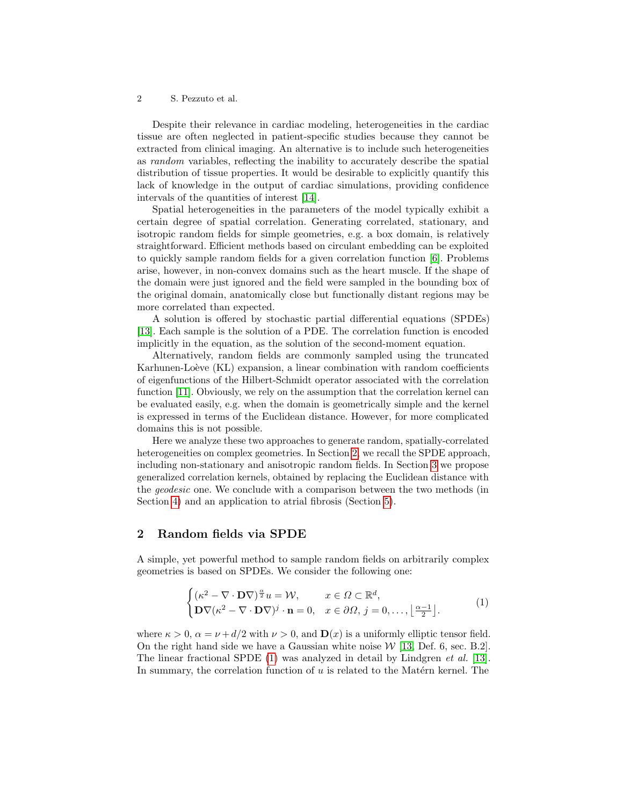#### 2 S. Pezzuto et al.

Despite their relevance in cardiac modeling, heterogeneities in the cardiac tissue are often neglected in patient-specific studies because they cannot be extracted from clinical imaging. An alternative is to include such heterogeneities as random variables, reflecting the inability to accurately describe the spatial distribution of tissue properties. It would be desirable to explicitly quantify this lack of knowledge in the output of cardiac simulations, providing confidence intervals of the quantities of interest [\[14\]](#page-8-1).

Spatial heterogeneities in the parameters of the model typically exhibit a certain degree of spatial correlation. Generating correlated, stationary, and isotropic random fields for simple geometries, e.g. a box domain, is relatively straightforward. Efficient methods based on circulant embedding can be exploited to quickly sample random fields for a given correlation function [\[6\]](#page-7-1). Problems arise, however, in non-convex domains such as the heart muscle. If the shape of the domain were just ignored and the field were sampled in the bounding box of the original domain, anatomically close but functionally distant regions may be more correlated than expected.

A solution is offered by stochastic partial differential equations (SPDEs) [\[13\]](#page-8-2). Each sample is the solution of a PDE. The correlation function is encoded implicitly in the equation, as the solution of the second-moment equation.

Alternatively, random fields are commonly sampled using the truncated Karhunen-Loève (KL) expansion, a linear combination with random coefficients of eigenfunctions of the Hilbert-Schmidt operator associated with the correlation function [\[11\]](#page-8-3). Obviously, we rely on the assumption that the correlation kernel can be evaluated easily, e.g. when the domain is geometrically simple and the kernel is expressed in terms of the Euclidean distance. However, for more complicated domains this is not possible.

Here we analyze these two approaches to generate random, spatially-correlated heterogeneities on complex geometries. In Section [2,](#page-1-0) we recall the SPDE approach, including non-stationary and anisotropic random fields. In Section [3](#page-2-0) we propose generalized correlation kernels, obtained by replacing the Euclidean distance with the geodesic one. We conclude with a comparison between the two methods (in Section [4\)](#page-4-0) and an application to atrial fibrosis (Section [5\)](#page-5-0).

# <span id="page-1-0"></span>2 Random fields via SPDE

A simple, yet powerful method to sample random fields on arbitrarily complex geometries is based on SPDEs. We consider the following one:

<span id="page-1-1"></span>
$$
\begin{cases} (\kappa^2 - \nabla \cdot \mathbf{D} \nabla)^{\frac{\alpha}{2}} u = \mathcal{W}, & x \in \Omega \subset \mathbb{R}^d, \\ \mathbf{D} \nabla (\kappa^2 - \nabla \cdot \mathbf{D} \nabla)^j \cdot \mathbf{n} = 0, & x \in \partial \Omega, j = 0, \dots, \left\lfloor \frac{\alpha - 1}{2} \right\rfloor. \end{cases} (1)
$$

where  $\kappa > 0$ ,  $\alpha = \nu + d/2$  with  $\nu > 0$ , and  $\mathbf{D}(x)$  is a uniformly elliptic tensor field. On the right hand side we have a Gaussian white noise  $W$  [\[13,](#page-8-2) Def. 6, sec. B.2]. The linear fractional SPDE [\(1\)](#page-1-1) was analyzed in detail by Lindgren *et al.* [\[13\]](#page-8-2). In summary, the correlation function of  $u$  is related to the Matérn kernel. The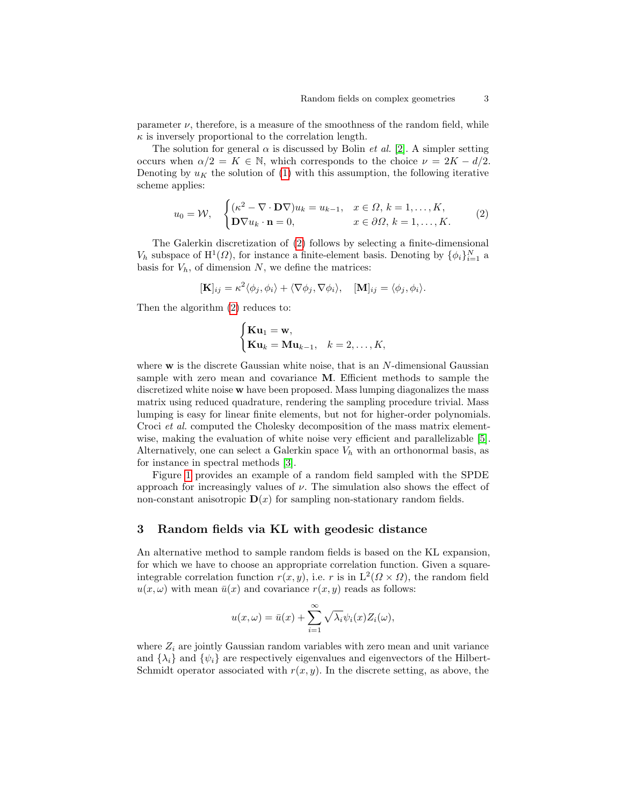parameter  $\nu$ , therefore, is a measure of the smoothness of the random field, while  $\kappa$  is inversely proportional to the correlation length.

The solution for general  $\alpha$  is discussed by Bolin *et al.* [\[2\]](#page-7-2). A simpler setting occurs when  $\alpha/2 = K \in \mathbb{N}$ , which corresponds to the choice  $\nu = 2K - d/2$ . Denoting by  $u_K$  the solution of [\(1\)](#page-1-1) with this assumption, the following iterative scheme applies:

<span id="page-2-1"></span>
$$
u_0 = \mathcal{W}, \quad \begin{cases} (\kappa^2 - \nabla \cdot \mathbf{D} \nabla) u_k = u_{k-1}, & x \in \Omega, \ k = 1, \dots, K, \\ \mathbf{D} \nabla u_k \cdot \mathbf{n} = 0, & x \in \partial \Omega, \ k = 1, \dots, K. \end{cases} \tag{2}
$$

The Galerkin discretization of [\(2\)](#page-2-1) follows by selecting a finite-dimensional  $V_h$  subspace of  $\mathrm{H}^1(\Omega)$ , for instance a finite-element basis. Denoting by  $\{\phi_i\}_{i=1}^N$  a basis for  $V_h$ , of dimension  $N$ , we define the matrices:

$$
[\mathbf{K}]_{ij} = \kappa^2 \langle \phi_j, \phi_i \rangle + \langle \nabla \phi_j, \nabla \phi_i \rangle, \quad [\mathbf{M}]_{ij} = \langle \phi_j, \phi_i \rangle.
$$

Then the algorithm [\(2\)](#page-2-1) reduces to:

$$
\begin{cases} \mathbf{Ku}_1 = \mathbf{w}, \\ \mathbf{Ku}_k = \mathbf{Mu}_{k-1}, & k = 2, \dots, K, \end{cases}
$$

where  $w$  is the discrete Gaussian white noise, that is an  $N$ -dimensional Gaussian sample with zero mean and covariance M. Efficient methods to sample the discretized white noise w have been proposed. Mass lumping diagonalizes the mass matrix using reduced quadrature, rendering the sampling procedure trivial. Mass lumping is easy for linear finite elements, but not for higher-order polynomials. Croci et al. computed the Cholesky decomposition of the mass matrix elementwise, making the evaluation of white noise very efficient and parallelizable [\[5\]](#page-7-3). Alternatively, one can select a Galerkin space  $V_h$  with an orthonormal basis, as for instance in spectral methods [\[3\]](#page-7-4).

Figure [1](#page-3-0) provides an example of a random field sampled with the SPDE approach for increasingly values of  $\nu$ . The simulation also shows the effect of non-constant anisotropic  $\mathbf{D}(x)$  for sampling non-stationary random fields.

### <span id="page-2-0"></span>3 Random fields via KL with geodesic distance

An alternative method to sample random fields is based on the KL expansion, for which we have to choose an appropriate correlation function. Given a squareintegrable correlation function  $r(x, y)$ , i.e. r is in  $L^2(\Omega \times \Omega)$ , the random field  $u(x, \omega)$  with mean  $\bar{u}(x)$  and covariance  $r(x, y)$  reads as follows:

$$
u(x, \omega) = \bar{u}(x) + \sum_{i=1}^{\infty} \sqrt{\lambda_i} \psi_i(x) Z_i(\omega),
$$

where  $Z_i$  are jointly Gaussian random variables with zero mean and unit variance and  $\{\lambda_i\}$  and  $\{\psi_i\}$  are respectively eigenvalues and eigenvectors of the Hilbert-Schmidt operator associated with  $r(x, y)$ . In the discrete setting, as above, the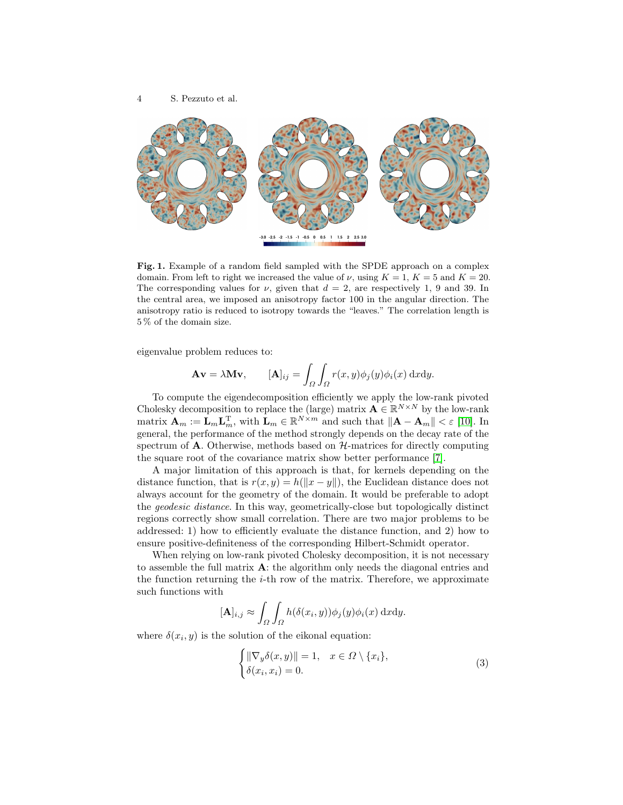



<span id="page-3-0"></span>Fig. 1. Example of a random field sampled with the SPDE approach on a complex domain. From left to right we increased the value of  $\nu$ , using  $K = 1$ ,  $K = 5$  and  $K = 20$ . The corresponding values for  $\nu$ , given that  $d = 2$ , are respectively 1, 9 and 39. In the central area, we imposed an anisotropy factor 100 in the angular direction. The anisotropy ratio is reduced to isotropy towards the "leaves." The correlation length is 5 % of the domain size.

eigenvalue problem reduces to:

$$
\mathbf{A}\mathbf{v} = \lambda \mathbf{M}\mathbf{v}, \qquad [\mathbf{A}]_{ij} = \int_{\Omega} \int_{\Omega} r(x, y) \phi_j(y) \phi_i(x) \, \mathrm{d}x \mathrm{d}y.
$$

To compute the eigendecomposition efficiently we apply the low-rank pivoted Cholesky decomposition to replace the (large) matrix  $\mathbf{A} \in \mathbb{R}^{N \times N}$  by the low-rank matrix  $\mathbf{A}_m := \mathbf{L}_m \mathbf{L}_m^{\mathrm{T}}$ , with  $\mathbf{L}_m \in \mathbb{R}^{N \times m}$  and such that  $\|\mathbf{A} - \mathbf{A}_m\| < \varepsilon$  [\[10\]](#page-8-4). In general, the performance of the method strongly depends on the decay rate of the spectrum of  $A$ . Otherwise, methods based on  $H$ -matrices for directly computing the square root of the covariance matrix show better performance [\[7\]](#page-7-5).

A major limitation of this approach is that, for kernels depending on the distance function, that is  $r(x, y) = h(||x - y||)$ , the Euclidean distance does not always account for the geometry of the domain. It would be preferable to adopt the geodesic distance. In this way, geometrically-close but topologically distinct regions correctly show small correlation. There are two major problems to be addressed: 1) how to efficiently evaluate the distance function, and 2) how to ensure positive-definiteness of the corresponding Hilbert-Schmidt operator.

When relying on low-rank pivoted Cholesky decomposition, it is not necessary to assemble the full matrix  $\mathbf{A}$ : the algorithm only needs the diagonal entries and the function returning the  $i$ -th row of the matrix. Therefore, we approximate such functions with

$$
[\mathbf{A}]_{i,j} \approx \int_{\Omega} \int_{\Omega} h(\delta(x_i, y)) \phi_j(y) \phi_i(x) \, \mathrm{d}x \mathrm{d}y.
$$

where  $\delta(x_i, y)$  is the solution of the eikonal equation:

<span id="page-3-1"></span>
$$
\begin{cases} \|\nabla_y \delta(x, y)\| = 1, & x \in \Omega \setminus \{x_i\}, \\ \delta(x_i, x_i) = 0. \end{cases}
$$
 (3)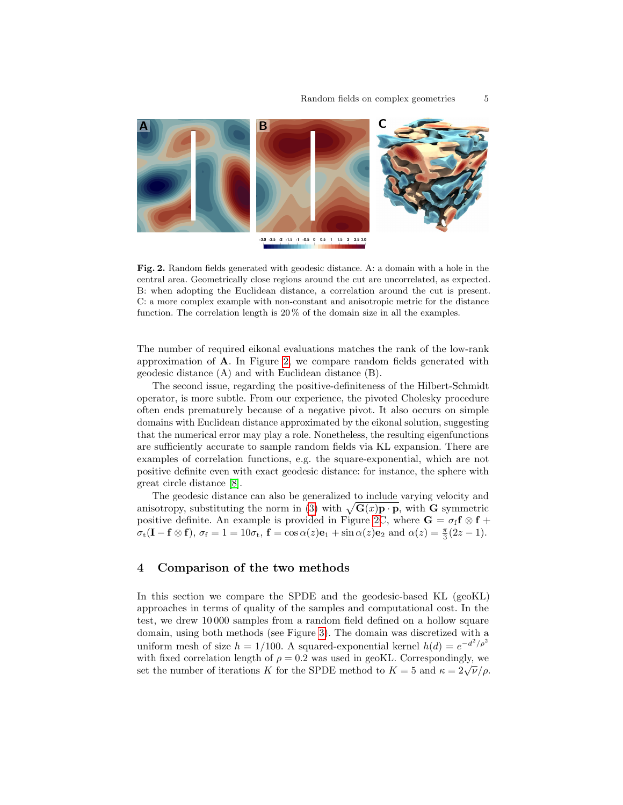

<span id="page-4-1"></span>Fig. 2. Random fields generated with geodesic distance. A: a domain with a hole in the central area. Geometrically close regions around the cut are uncorrelated, as expected. B: when adopting the Euclidean distance, a correlation around the cut is present. C: a more complex example with non-constant and anisotropic metric for the distance function. The correlation length is 20 % of the domain size in all the examples.

The number of required eikonal evaluations matches the rank of the low-rank approximation of A. In Figure [2,](#page-4-1) we compare random fields generated with geodesic distance (A) and with Euclidean distance (B).

The second issue, regarding the positive-definiteness of the Hilbert-Schmidt operator, is more subtle. From our experience, the pivoted Cholesky procedure often ends prematurely because of a negative pivot. It also occurs on simple domains with Euclidean distance approximated by the eikonal solution, suggesting that the numerical error may play a role. Nonetheless, the resulting eigenfunctions are sufficiently accurate to sample random fields via KL expansion. There are examples of correlation functions, e.g. the square-exponential, which are not positive definite even with exact geodesic distance: for instance, the sphere with great circle distance [\[8\]](#page-7-6).

The geodesic distance can also be generalized to include varying velocity and anisotropy, substituting the norm in [\(3\)](#page-3-1) with  $\sqrt{G(x)p \cdot p}$ , with G symmetric positive definite. An example is provided in Figure [2C](#page-4-1), where  $G = \sigma_f f \otimes f +$  $\sigma_t(\mathbf{I} - \mathbf{f} \otimes \mathbf{f}), \ \sigma_f = 1 = 10\sigma_t, \ \mathbf{f} = \cos \alpha(z)\mathbf{e}_1 + \sin \alpha(z)\mathbf{e}_2 \text{ and } \alpha(z) = \frac{\pi}{3}(2z - 1).$ 

# <span id="page-4-0"></span>4 Comparison of the two methods

In this section we compare the SPDE and the geodesic-based KL (geoKL) approaches in terms of quality of the samples and computational cost. In the test, we drew 10 000 samples from a random field defined on a hollow square domain, using both methods (see Figure [3\)](#page-5-1). The domain was discretized with a uniform mesh of size  $h = 1/100$ . A squared-exponential kernel  $h(d) = e^{-d^2/\rho^2}$ with fixed correlation length of  $\rho = 0.2$  was used in geoKL. Correspondingly, we set the number of iterations K for the SPDE method to  $K = 5$  and  $\kappa = 2\sqrt{\nu}/\rho$ .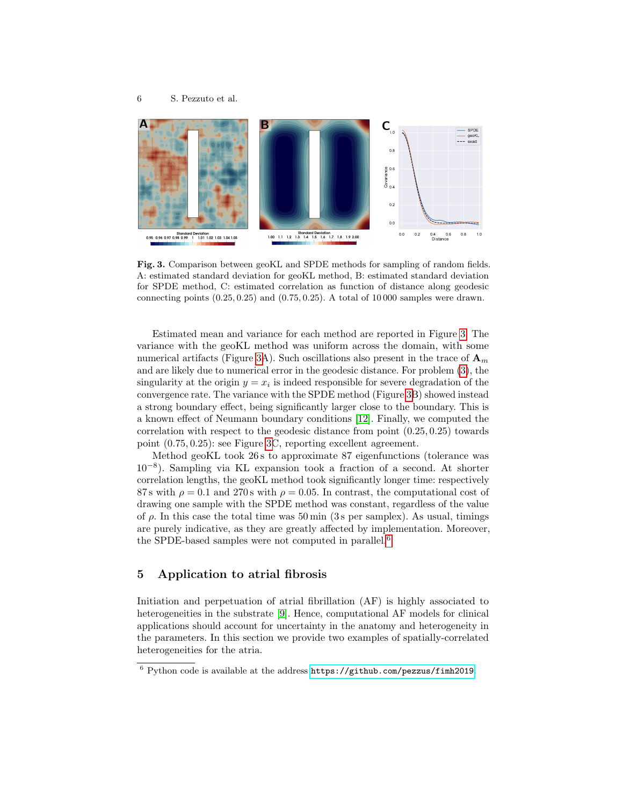

<span id="page-5-1"></span>Fig. 3. Comparison between geoKL and SPDE methods for sampling of random fields. A: estimated standard deviation for geoKL method, B: estimated standard deviation for SPDE method, C: estimated correlation as function of distance along geodesic connecting points  $(0.25, 0.25)$  and  $(0.75, 0.25)$ . A total of 10000 samples were drawn.

Estimated mean and variance for each method are reported in Figure [3.](#page-5-1) The variance with the geoKL method was uniform across the domain, with some numerical artifacts (Figure [3A](#page-5-1)). Such oscillations also present in the trace of  $A_m$ and are likely due to numerical error in the geodesic distance. For problem [\(3\)](#page-3-1), the singularity at the origin  $y = x_i$  is indeed responsible for severe degradation of the convergence rate. The variance with the SPDE method (Figure [3B](#page-5-1)) showed instead a strong boundary effect, being significantly larger close to the boundary. This is a known effect of Neumann boundary conditions [\[12\]](#page-8-5). Finally, we computed the correlation with respect to the geodesic distance from point (0.25, 0.25) towards point (0.75, 0.25): see Figure [3C](#page-5-1), reporting excellent agreement.

Method geoKL took 26 s to approximate 87 eigenfunctions (tolerance was 10<sup>−</sup><sup>8</sup> ). Sampling via KL expansion took a fraction of a second. At shorter correlation lengths, the geoKL method took significantly longer time: respectively 87 s with  $\rho = 0.1$  and 270 s with  $\rho = 0.05$ . In contrast, the computational cost of drawing one sample with the SPDE method was constant, regardless of the value of  $\rho$ . In this case the total time was 50 min (3s per samplex). As usual, timings are purely indicative, as they are greatly affected by implementation. Moreover, the SPDE-based samples were not computed in parallel.[6](#page-5-2)

# <span id="page-5-0"></span>5 Application to atrial fibrosis

Initiation and perpetuation of atrial fibrillation (AF) is highly associated to heterogeneities in the substrate [\[9\]](#page-7-7). Hence, computational AF models for clinical applications should account for uncertainty in the anatomy and heterogeneity in the parameters. In this section we provide two examples of spatially-correlated heterogeneities for the atria.

<span id="page-5-2"></span><sup>6</sup> Python code is available at the address <https://github.com/pezzus/fimh2019>.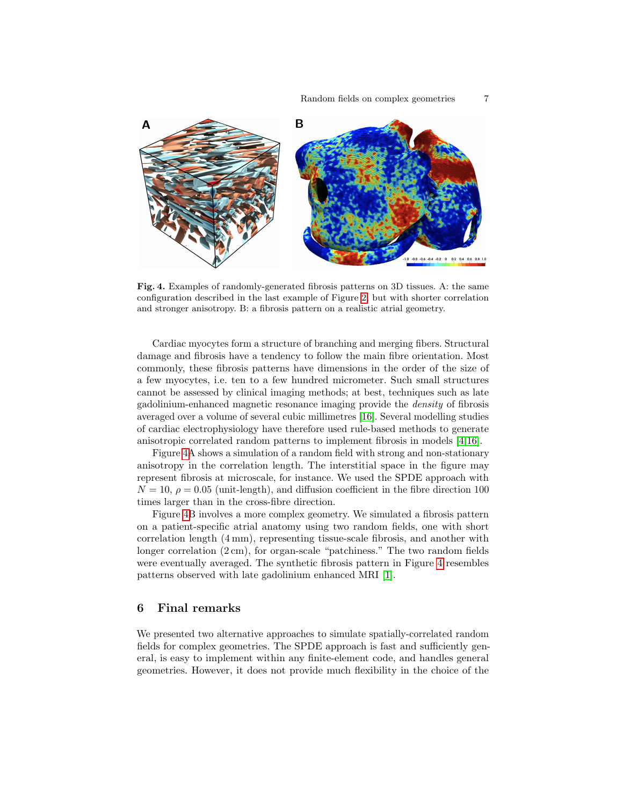

<span id="page-6-0"></span>Fig. 4. Examples of randomly-generated fibrosis patterns on 3D tissues. A: the same configuration described in the last example of Figure [2,](#page-4-1) but with shorter correlation and stronger anisotropy. B: a fibrosis pattern on a realistic atrial geometry.

Cardiac myocytes form a structure of branching and merging fibers. Structural damage and fibrosis have a tendency to follow the main fibre orientation. Most commonly, these fibrosis patterns have dimensions in the order of the size of a few myocytes, i.e. ten to a few hundred micrometer. Such small structures cannot be assessed by clinical imaging methods; at best, techniques such as late gadolinium-enhanced magnetic resonance imaging provide the density of fibrosis averaged over a volume of several cubic millimetres [\[16\]](#page-8-6). Several modelling studies of cardiac electrophysiology have therefore used rule-based methods to generate anisotropic correlated random patterns to implement fibrosis in models [\[4](#page-7-8)[,16\]](#page-8-6).

Figure [4A](#page-6-0) shows a simulation of a random field with strong and non-stationary anisotropy in the correlation length. The interstitial space in the figure may represent fibrosis at microscale, for instance. We used the SPDE approach with  $N = 10$ ,  $\rho = 0.05$  (unit-length), and diffusion coefficient in the fibre direction 100 times larger than in the cross-fibre direction.

Figure [4B](#page-6-0) involves a more complex geometry. We simulated a fibrosis pattern on a patient-specific atrial anatomy using two random fields, one with short correlation length (4 mm), representing tissue-scale fibrosis, and another with longer correlation (2 cm), for organ-scale "patchiness." The two random fields were eventually averaged. The synthetic fibrosis pattern in Figure [4](#page-6-0) resembles patterns observed with late gadolinium enhanced MRI [\[1\]](#page-7-0).

#### 6 Final remarks

We presented two alternative approaches to simulate spatially-correlated random fields for complex geometries. The SPDE approach is fast and sufficiently general, is easy to implement within any finite-element code, and handles general geometries. However, it does not provide much flexibility in the choice of the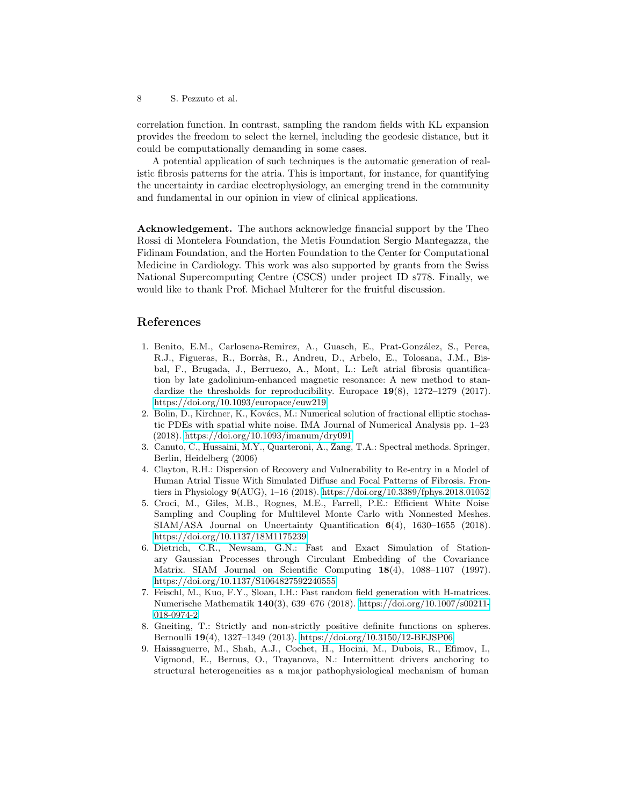8 S. Pezzuto et al.

correlation function. In contrast, sampling the random fields with KL expansion provides the freedom to select the kernel, including the geodesic distance, but it could be computationally demanding in some cases.

A potential application of such techniques is the automatic generation of realistic fibrosis patterns for the atria. This is important, for instance, for quantifying the uncertainty in cardiac electrophysiology, an emerging trend in the community and fundamental in our opinion in view of clinical applications.

Acknowledgement. The authors acknowledge financial support by the Theo Rossi di Montelera Foundation, the Metis Foundation Sergio Mantegazza, the Fidinam Foundation, and the Horten Foundation to the Center for Computational Medicine in Cardiology. This work was also supported by grants from the Swiss National Supercomputing Centre (CSCS) under project ID s778. Finally, we would like to thank Prof. Michael Multerer for the fruitful discussion.

# References

- <span id="page-7-0"></span>1. Benito, E.M., Carlosena-Remirez, A., Guasch, E., Prat-González, S., Perea, R.J., Figueras, R., Borràs, R., Andreu, D., Arbelo, E., Tolosana, J.M., Bisbal, F., Brugada, J., Berruezo, A., Mont, L.: Left atrial fibrosis quantification by late gadolinium-enhanced magnetic resonance: A new method to standardize the thresholds for reproducibility. Europace 19(8), 1272–1279 (2017). <https://doi.org/10.1093/europace/euw219>
- <span id="page-7-2"></span>2. Bolin, D., Kirchner, K., Kovács, M.: Numerical solution of fractional elliptic stochastic PDEs with spatial white noise. IMA Journal of Numerical Analysis pp. 1–23 (2018).<https://doi.org/10.1093/imanum/dry091>
- <span id="page-7-4"></span>3. Canuto, C., Hussaini, M.Y., Quarteroni, A., Zang, T.A.: Spectral methods. Springer, Berlin, Heidelberg (2006)
- <span id="page-7-8"></span>4. Clayton, R.H.: Dispersion of Recovery and Vulnerability to Re-entry in a Model of Human Atrial Tissue With Simulated Diffuse and Focal Patterns of Fibrosis. Frontiers in Physiology 9(AUG), 1–16 (2018).<https://doi.org/10.3389/fphys.2018.01052>
- <span id="page-7-3"></span>5. Croci, M., Giles, M.B., Rognes, M.E., Farrell, P.E.: Efficient White Noise Sampling and Coupling for Multilevel Monte Carlo with Nonnested Meshes. SIAM/ASA Journal on Uncertainty Quantification 6(4), 1630–1655 (2018). <https://doi.org/10.1137/18M1175239>
- <span id="page-7-1"></span>6. Dietrich, C.R., Newsam, G.N.: Fast and Exact Simulation of Stationary Gaussian Processes through Circulant Embedding of the Covariance Matrix. SIAM Journal on Scientific Computing 18(4), 1088–1107 (1997). <https://doi.org/10.1137/S1064827592240555>
- <span id="page-7-5"></span>7. Feischl, M., Kuo, F.Y., Sloan, I.H.: Fast random field generation with H-matrices. Numerische Mathematik 140(3), 639–676 (2018). [https://doi.org/10.1007/s00211-](https://doi.org/10.1007/s00211-018-0974-2) [018-0974-2](https://doi.org/10.1007/s00211-018-0974-2)
- <span id="page-7-6"></span>8. Gneiting, T.: Strictly and non-strictly positive definite functions on spheres. Bernoulli 19(4), 1327–1349 (2013).<https://doi.org/10.3150/12-BEJSP06>
- <span id="page-7-7"></span>9. Haissaguerre, M., Shah, A.J., Cochet, H., Hocini, M., Dubois, R., Efimov, I., Vigmond, E., Bernus, O., Trayanova, N.: Intermittent drivers anchoring to structural heterogeneities as a major pathophysiological mechanism of human